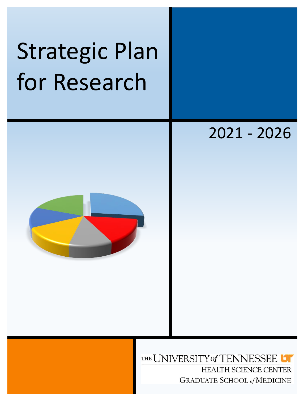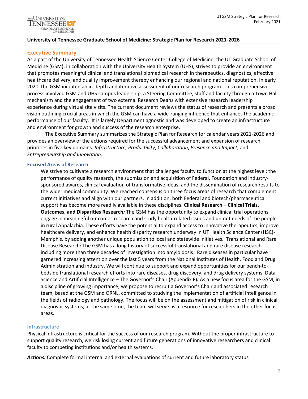

#### **University of Tennessee Graduate School of Medicine: Strategic Plan for Research 2021-2026**

### **Executive Summary**

As a part of the University of Tennessee Health Science Center-College of Medicine, the UT Graduate School of Medicine (GSM), in collaboration with the University Health System (UHS), strives to provide an environment that promotes meaningful clinical and translational biomedical research in therapeutics, diagnostics, effective healthcare delivery, and quality improvement thereby enhancing our regional and national reputation. In early 2020, the GSM initiated an in-depth and iterative assessment of our research program. This comprehensive process involved GSM and UHS campus leadership, a Steering Committee, staff and faculty through a Town Hall mechanism and the engagement of two external Research Deans with extensive research leadership experience during virtual site visits. The current document reviews the status of research and presents a broad vision outlining crucial areas in which the GSM can have a wide-ranging influence that enhances the academic performance of our faculty. It is largely Department agnostic and was developed to create an infrastructure and environment for growth and success of the research enterprise.

The Executive Summary summarizes the Strategic Plan for Research for calendar years 2021-2026 and provides an overview of the actions required for the successful advancement and expansion of research priorities in five key domains: *Infrastructure, Productivity*, *Collaboration*, *Presence and Impact*, and *Entrepreneurship and Innovation*.

#### **Focused Areas of Research**

We strive to cultivate a research environment that challenges faculty to function at the highest level: the performance of quality research, the submission and acquisition of Federal, Foundation and industrysponsored awards, clinical evaluation of transformative ideas, and the dissemination of research results to the wider medical community. We reached consensus on three focus areas of research that complement current initiatives and align with our partners. In addition, both Federal and biotech/pharmaceutical support has become more readily available in these disciplines. **Clinical Research – Clinical Trials, Outcomes, and Disparities Research***:* The GSM has the opportunity to expand clinical trial operations, engage in meaningful outcomes research and study health-related issues and unmet needs of the people in rural Appalachia. These efforts have the potential to expand access to innovative therapeutics, improve healthcare delivery, and enhance health disparity research underway in UT Health Science Center (HSC)- Memphis, by adding another unique population to local and statewide initiatives. Translational and Rare Disease Research*:* The GSM has a long history of successful translational and rare disease research including more than three decades of investigation into amyloidosis. Rare diseases in particular have garnered increasing attention over the last 5 years from the National Institutes of Health, Food and Drug Administration and industry. We will continue to support and expand opportunities for our bench-tobedside translational research efforts into rare diseases, drug discovery, and drug delivery systems. Data Science and Artificial Intelligence – The Governor's Chair (Appendix F)*:* As a new focus area for the GSM, in a discipline of growing importance, we propose to recruit a Governor's Chair and associated research team, based at the GSM and ORNL, committed to studying the implementation of artificial intelligence in the fields of radiology and pathology. The focus will be on the assessment and mitigation of risk in clinical diagnostic systems; at the same time, the team will serve as a resource for researchers in the other focus areas.

#### **Infrastructure**

Physical infrastructure is critical for the success of our research program. Without the proper infrastructure to support quality research, we risk losing current and future generations of innovative researchers and clinical faculty to competing institutions and/or health systems.

*Actions:* Complete formal internal and external evaluations of current and future laboratory status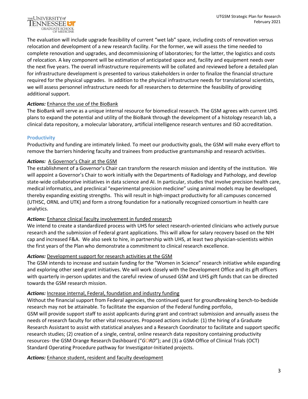

The evaluation will include upgrade feasibility of current "wet lab" space, including costs of renovation versus relocation and development of a new research facility. For the former, we will assess the time needed to complete renovation and upgrades, and decommissioning of laboratories; for the latter, the logistics and costs of relocation. A key component will be estimation of anticipated space and, facility and equipment needs over the next five years. The overall infrastructure requirements will be collated and reviewed before a detailed plan for infrastructure development is presented to various stakeholders in order to finalize the financial structure required for the physical upgrades. In addition to the physical infrastructure needs for translational scientists, we will assess personnel infrastructure needs for all researchers to determine the feasibility of providing additional support.

# *Actions:* Enhance the use of the BioBank

The BioBank will serve as a unique internal resource for biomedical research. The GSM agrees with current UHS plans to expand the potential and utility of the BioBank through the development of a histology research lab, a clinical data repository, a molecular laboratory, artificial intelligence research ventures and ISO accreditation.

#### **Productivity**

Productivity and funding are intimately linked. To meet our productivity goals, the GSM will make every effort to remove the barriers hindering faculty and trainees from productive grantsmanship and research activities.

#### *Actions:* A Governor's Chair at the GSM

The establishment of a Governor's Chair can transform the research mission and identity of the institution. We will appoint a Governor's Chair to work initially with the Departments of Radiology and Pathology, and develop state-wide collaborative initiatives in data science and AI. In particular, studies that involve precision health care, medical informatics, and preclinical "experimental precision medicine" using animal models may be developed, thereby expanding existing strengths. This will result in high-impact productivity for all campuses concerned (UTHSC, ORNL and UTK) and form a strong foundation for a nationally recognized consortium in health care analytics.

#### *Actions:* Enhance clinical faculty involvement in funded research

We intend to create a standardized process with UHS for select research-oriented clinicians who actively pursue research and the submission of Federal grant applications. This will allow for salary recovery based on the NIH cap and increased F&A. We also seek to hire, in partnership with UHS, at least two physician-scientists within the first years of the Plan who demonstrate a commitment to clinical research excellence.

# *Actions:* Development support for research activities at the GSM

The GSM intends to increase and sustain funding for the "Women in Science" research initiative while expanding and exploring other seed grant initiatives. We will work closely with the Development Office and its gift officers with quarterly in-person updates and the careful review of unused GSM and UHS gift funds that can be directed towards the GSM research mission.

#### *Actions:* Increase internal, Federal, foundation and industry funding

Without the financial support from Federal agencies, the continued quest for groundbreaking bench-to-bedside research may not be attainable. To facilitate the expansion of the Federal funding portfolio, GSM will provide support staff to assist applicants during grant and contract submission and annually assess the needs of research faculty for other vital resources. Proposed actions include: (1) the hiring of a Graduate Research Assistant to assist with statistical analyses and a Research Coordinator to facilitate and support specific research studies; (2) creation of a single, central, online research data repository containing productivity resources- the GSM Orange Research Dashboard ("*GORD*"); and (3) a GSM-Office of Clinical Trials (OCT) Standard Operating Procedure pathway for Investigator-Initiated projects.

#### *Actions:* Enhance student, resident and faculty development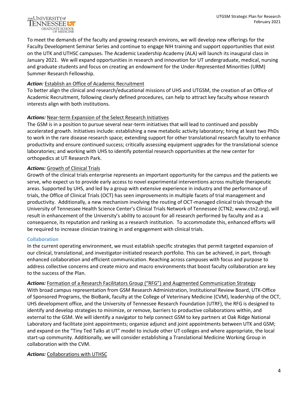

To meet the demands of the faculty and growing research environs, we will develop new offerings for the Faculty Development Seminar Series and continue to engage NIH training and support opportunities that exist on the UTK and UTHSC campuses. The Academic Leadership Academy (ALA) will launch its inaugural class in January 2021. We will expand opportunities in research and innovation for UT undergraduate, medical, nursing and graduate students and focus on creating an endowment for the Under-Represented Minorities (URM) Summer Research Fellowship.

### *Action:* Establish an Office of Academic Recruitment

To better align the clinical and research/educational missions of UHS and UTGSM, the creation of an Office of Academic Recruitment, following clearly defined procedures, can help to attract key faculty whose research interests align with both institutions.

# *Actions:* Near-term Expansion of the Select Research Initiatives

The GSM is in a position to pursue several near-term initiatives that will lead to continued and possibly accelerated growth. Initiatives include: establishing a new metabolic activity laboratory; hiring at least two PhDs to work in the rare disease research space; extending support for other translational research faculty to enhance productivity and ensure continued success; critically assessing equipment upgrades for the translational science laboratories; and working with UHS to identify potential research opportunities at the new center for orthopedics at UT Research Park.

### *Actions:* Growth of Clinical Trials

Growth of the clinical trials enterprise represents an important opportunity for the campus and the patients we serve, who expect us to provide early access to novel experimental interventions across multiple therapeutic areas. Supported by UHS, and led by a group with extensive experience in industry and the performance of trials, the Office of Clinical Trials (OCT) has seen improvements in multiple facets of trial management and productivity. Additionally, a new mechanism involving the routing of OCT-managed clinical trials through the University of Tennessee Health Science Center's Clinical Trials Network of Tennessee (CTN2; www.ctn2.org), will result in enhancement of the University's ability to account for all research performed by faculty and as a consequence, its reputation and ranking as a research institution. To accommodate this, enhanced efforts will be required to increase clinician training in and engagement with clinical trials.

# **Collaboration**

In the current operating environment, we must establish specific strategies that permit targeted expansion of our clinical, translational, and investigator-initiated research portfolio. This can be achieved, in part, through enhanced collaboration and efficient communication. Reaching across campuses with focus and purpose to address collective concerns and create micro and macro environments that boost faculty collaboration are key to the success of the Plan.

*Actions:* Formation of a Research Facilitators Group ("RFG") and Augmented Communication Strategy With broad campus representation from GSM Research Administration, Institutional Review Board, UTK-Office of Sponsored Programs, the BioBank, faculty at the College of Veterinary Medicine (CVM), leadership of the OCT, UHS development office, and the University of Tennessee Research Foundation (UTRF), the RFG is designed to identify and develop strategies to minimize, or remove, barriers to productive collaborations within, and external to the GSM. We will identify a navigator to help connect GSM to key partners at Oak Ridge National Laboratory and facilitate joint appointments; organize adjunct and joint appointments between UTK and GSM; and expand on the "Tiny Ted Talks at UT" model to include other UT colleges and where appropriate, the local start-up community. Additionally, we will consider establishing a Translational Medicine Working Group in collaboration with the CVM.

#### Actions: Collaborations with UTHSC